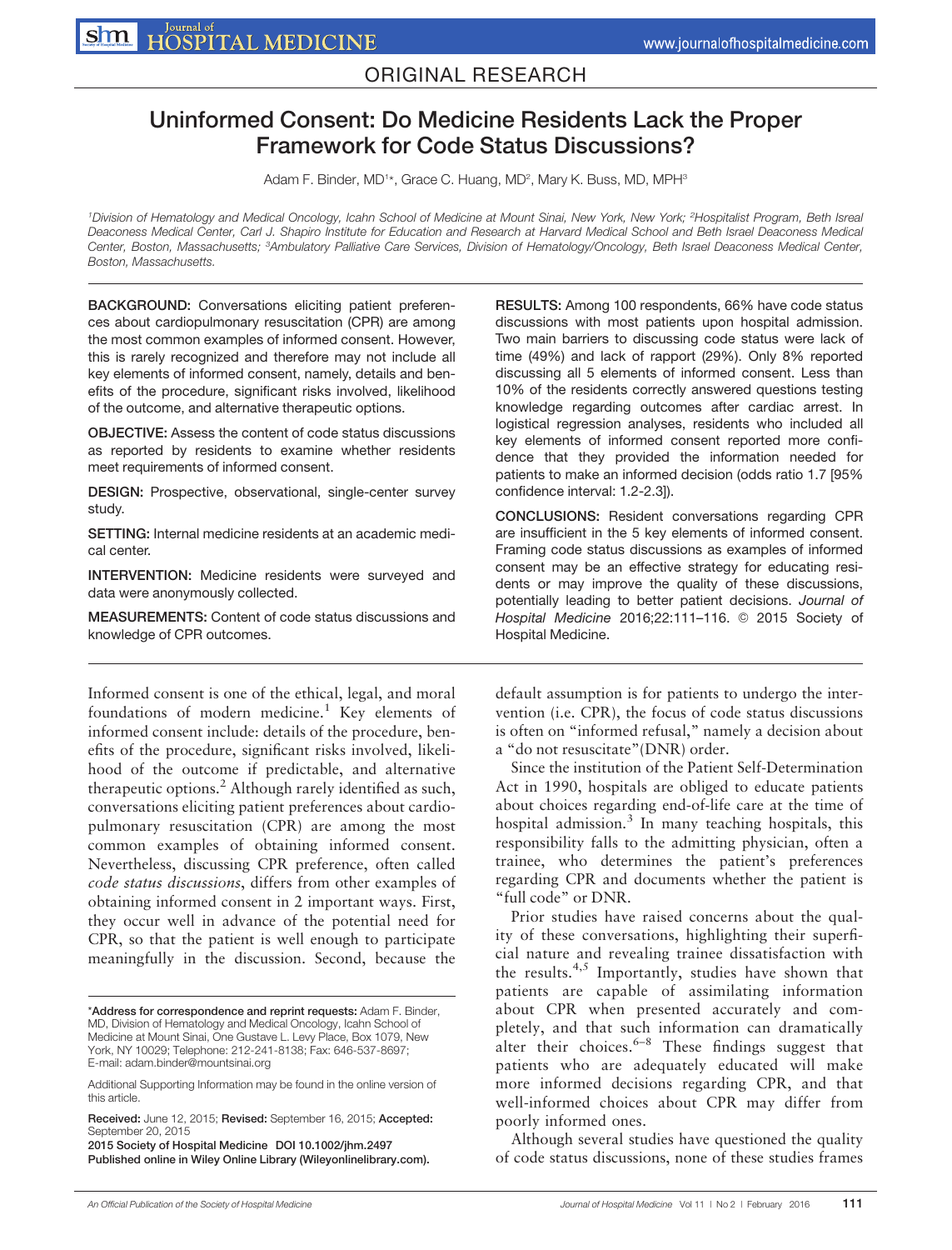## ORIGINAL RESEARCH

# Uninformed Consent: Do Medicine Residents Lack the Proper Framework for Code Status Discussions?

Adam F. Binder, MD<sup>1</sup>\*, Grace C. Huang, MD<sup>2</sup>, Mary K. Buss, MD, MPH<sup>3</sup>

1Division of Hematology and Medical Oncology, Icahn School of Medicine at Mount Sinai, New York, New York; 2Hospitalist Program, Beth Isreal Deaconess Medical Center, Carl J. Shapiro Institute for Education and Research at Harvard Medical School and Beth Israel Deaconess Medical Center, Boston, Massachusetts; 3Ambulatory Palliative Care Services, Division of Hematology/Oncology, Beth Israel Deaconess Medical Center, Boston, Massachusetts.

BACKGROUND: Conversations eliciting patient preferences about cardiopulmonary resuscitation (CPR) are among the most common examples of informed consent. However, this is rarely recognized and therefore may not include all key elements of informed consent, namely, details and benefits of the procedure, significant risks involved, likelihood of the outcome, and alternative therapeutic options.

OBJECTIVE: Assess the content of code status discussions as reported by residents to examine whether residents meet requirements of informed consent.

DESIGN: Prospective, observational, single-center survey study.

SETTING: Internal medicine residents at an academic medical center.

INTERVENTION: Medicine residents were surveyed and data were anonymously collected.

MEASUREMENTS: Content of code status discussions and knowledge of CPR outcomes.

Informed consent is one of the ethical, legal, and moral foundations of modern medicine.<sup>1</sup> Key elements of informed consent include: details of the procedure, benefits of the procedure, significant risks involved, likelihood of the outcome if predictable, and alternative therapeutic options.<sup>2</sup> Although rarely identified as such, conversations eliciting patient preferences about cardiopulmonary resuscitation (CPR) are among the most common examples of obtaining informed consent. Nevertheless, discussing CPR preference, often called code status discussions, differs from other examples of obtaining informed consent in 2 important ways. First, they occur well in advance of the potential need for CPR, so that the patient is well enough to participate meaningfully in the discussion. Second, because the

RESULTS: Among 100 respondents, 66% have code status discussions with most patients upon hospital admission. Two main barriers to discussing code status were lack of time (49%) and lack of rapport (29%). Only 8% reported discussing all 5 elements of informed consent. Less than 10% of the residents correctly answered questions testing knowledge regarding outcomes after cardiac arrest. In logistical regression analyses, residents who included all key elements of informed consent reported more confidence that they provided the information needed for patients to make an informed decision (odds ratio 1.7 [95% confidence interval: 1.2-2.3]).

CONCLUSIONS: Resident conversations regarding CPR are insufficient in the 5 key elements of informed consent. Framing code status discussions as examples of informed consent may be an effective strategy for educating residents or may improve the quality of these discussions, potentially leading to better patient decisions. Journal of Hospital Medicine 2016;22:111-116. @ 2015 Society of Hospital Medicine.

default assumption is for patients to undergo the intervention (i.e. CPR), the focus of code status discussions is often on "informed refusal," namely a decision about a "do not resuscitate"(DNR) order.

Since the institution of the Patient Self-Determination Act in 1990, hospitals are obliged to educate patients about choices regarding end-of-life care at the time of hospital admission. $3$  In many teaching hospitals, this responsibility falls to the admitting physician, often a trainee, who determines the patient's preferences regarding CPR and documents whether the patient is "full code" or DNR.

Prior studies have raised concerns about the quality of these conversations, highlighting their superficial nature and revealing trainee dissatisfaction with the results. $4,5$  Importantly, studies have shown that patients are capable of assimilating information about CPR when presented accurately and completely, and that such information can dramatically alter their choices. $6-8$  These findings suggest that patients who are adequately educated will make more informed decisions regarding CPR, and that well-informed choices about CPR may differ from poorly informed ones.

Although several studies have questioned the quality of code status discussions, none of these studies frames

<sup>\*</sup>Address for correspondence and reprint requests: Adam F. Binder, MD, Division of Hematology and Medical Oncology, Icahn School of Medicine at Mount Sinai, One Gustave L. Levy Place, Box 1079, New York, NY 10029; Telephone: 212-241-8138; Fax: 646-537-8697; E-mail: adam.binder@mountsinai.org

Additional Supporting Information may be found in the online version of this article.

Received: June 12, 2015; Revised: September 16, 2015; Accepted: September 20, 2015

<sup>2015</sup> Society of Hospital Medicine DOI 10.1002/jhm.2497 Published online in Wiley Online Library (Wileyonlinelibrary.com).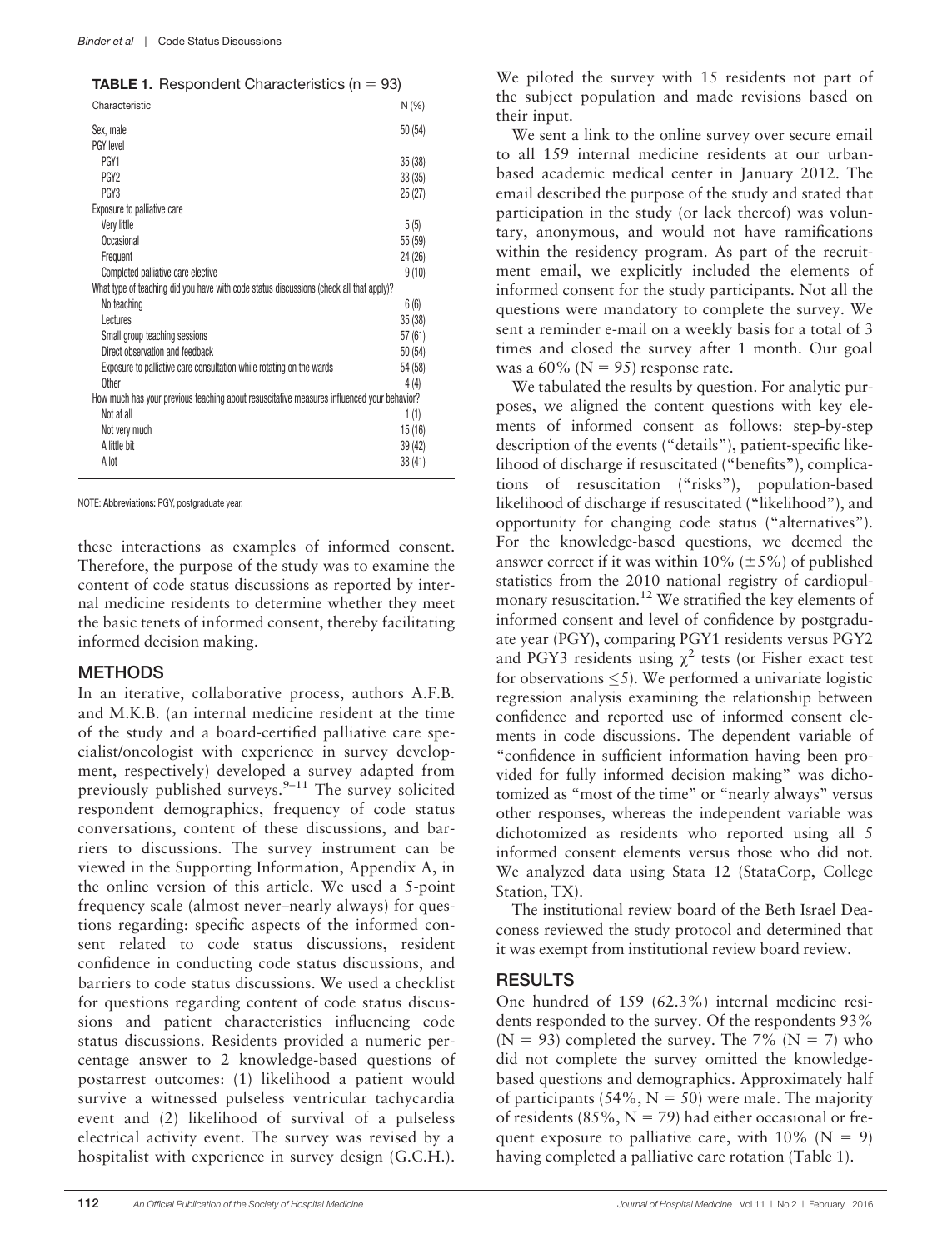|  |  | <b>TABLE 1.</b> Respondent Characteristics ( $n = 93$ ) |  |  |
|--|--|---------------------------------------------------------|--|--|
|--|--|---------------------------------------------------------|--|--|

| Characteristic                                                                             | $N(\%)$ |
|--------------------------------------------------------------------------------------------|---------|
| Sex, male                                                                                  | 50(54)  |
| PGY level                                                                                  |         |
| PGY <sub>1</sub>                                                                           | 35(38)  |
| PGY <sub>2</sub>                                                                           | 33(35)  |
| PGY <sub>3</sub>                                                                           | 25(27)  |
| Exposure to palliative care                                                                |         |
| Very little                                                                                | 5(5)    |
| Occasional                                                                                 | 55 (59) |
| Frequent                                                                                   | 24(26)  |
| Completed palliative care elective                                                         | 9(10)   |
| What type of teaching did you have with code status discussions (check all that apply)?    |         |
| No teaching                                                                                | 6(6)    |
| <b>Lectures</b>                                                                            | 35(38)  |
| Small group teaching sessions                                                              | 57(61)  |
| Direct observation and feedback                                                            | 50(54)  |
| Exposure to palliative care consultation while rotating on the wards                       | 54 (58) |
| Other                                                                                      | 4(4)    |
| How much has your previous teaching about resuscitative measures influenced your behavior? |         |
| Not at all                                                                                 | 1(1)    |
| Not very much                                                                              | 15 (16) |
| A little bit                                                                               | 39(42)  |
| A lot                                                                                      | 38(41)  |

NOTE: Abbreviations: PGY, postgraduate year.

these interactions as examples of informed consent. Therefore, the purpose of the study was to examine the content of code status discussions as reported by internal medicine residents to determine whether they meet the basic tenets of informed consent, thereby facilitating informed decision making.

#### **METHODS**

In an iterative, collaborative process, authors A.F.B. and M.K.B. (an internal medicine resident at the time of the study and a board-certified palliative care specialist/oncologist with experience in survey development, respectively) developed a survey adapted from previously published surveys. $9-11$  The survey solicited respondent demographics, frequency of code status conversations, content of these discussions, and barriers to discussions. The survey instrument can be viewed in the Supporting Information, Appendix A, in the online version of this article. We used a 5-point frequency scale (almost never–nearly always) for questions regarding: specific aspects of the informed consent related to code status discussions, resident confidence in conducting code status discussions, and barriers to code status discussions. We used a checklist for questions regarding content of code status discussions and patient characteristics influencing code status discussions. Residents provided a numeric percentage answer to 2 knowledge-based questions of postarrest outcomes: (1) likelihood a patient would survive a witnessed pulseless ventricular tachycardia event and (2) likelihood of survival of a pulseless electrical activity event. The survey was revised by a hospitalist with experience in survey design (G.C.H.).

We piloted the survey with 15 residents not part of the subject population and made revisions based on their input.

We sent a link to the online survey over secure email to all 159 internal medicine residents at our urbanbased academic medical center in January 2012. The email described the purpose of the study and stated that participation in the study (or lack thereof) was voluntary, anonymous, and would not have ramifications within the residency program. As part of the recruitment email, we explicitly included the elements of informed consent for the study participants. Not all the questions were mandatory to complete the survey. We sent a reminder e-mail on a weekly basis for a total of 3 times and closed the survey after 1 month. Our goal was a  $60\%$  (N = 95) response rate.

We tabulated the results by question. For analytic purposes, we aligned the content questions with key elements of informed consent as follows: step-by-step description of the events ("details"), patient-specific likelihood of discharge if resuscitated ("benefits"), complications of resuscitation ("risks"), population-based likelihood of discharge if resuscitated ("likelihood"), and opportunity for changing code status ("alternatives"). For the knowledge-based questions, we deemed the answer correct if it was within 10% ( $\pm$ 5%) of published statistics from the 2010 national registry of cardiopulmonary resuscitation.12 We stratified the key elements of informed consent and level of confidence by postgraduate year (PGY), comparing PGY1 residents versus PGY2 and PGY3 residents using  $\chi^2$  tests (or Fisher exact test for observations  $\leq$ 5). We performed a univariate logistic regression analysis examining the relationship between confidence and reported use of informed consent elements in code discussions. The dependent variable of "confidence in sufficient information having been provided for fully informed decision making" was dichotomized as "most of the time" or "nearly always" versus other responses, whereas the independent variable was dichotomized as residents who reported using all 5 informed consent elements versus those who did not. We analyzed data using Stata 12 (StataCorp, College Station, TX).

The institutional review board of the Beth Israel Deaconess reviewed the study protocol and determined that it was exempt from institutional review board review.

#### RESULTS

One hundred of 159 (62.3%) internal medicine residents responded to the survey. Of the respondents 93% (N = 93) completed the survey. The 7% (N = 7) who did not complete the survey omitted the knowledgebased questions and demographics. Approximately half of participants (54%,  $N = 50$ ) were male. The majority of residents (85%,  $N = 79$ ) had either occasional or frequent exposure to palliative care, with  $10\%$  (N = 9) having completed a palliative care rotation (Table 1).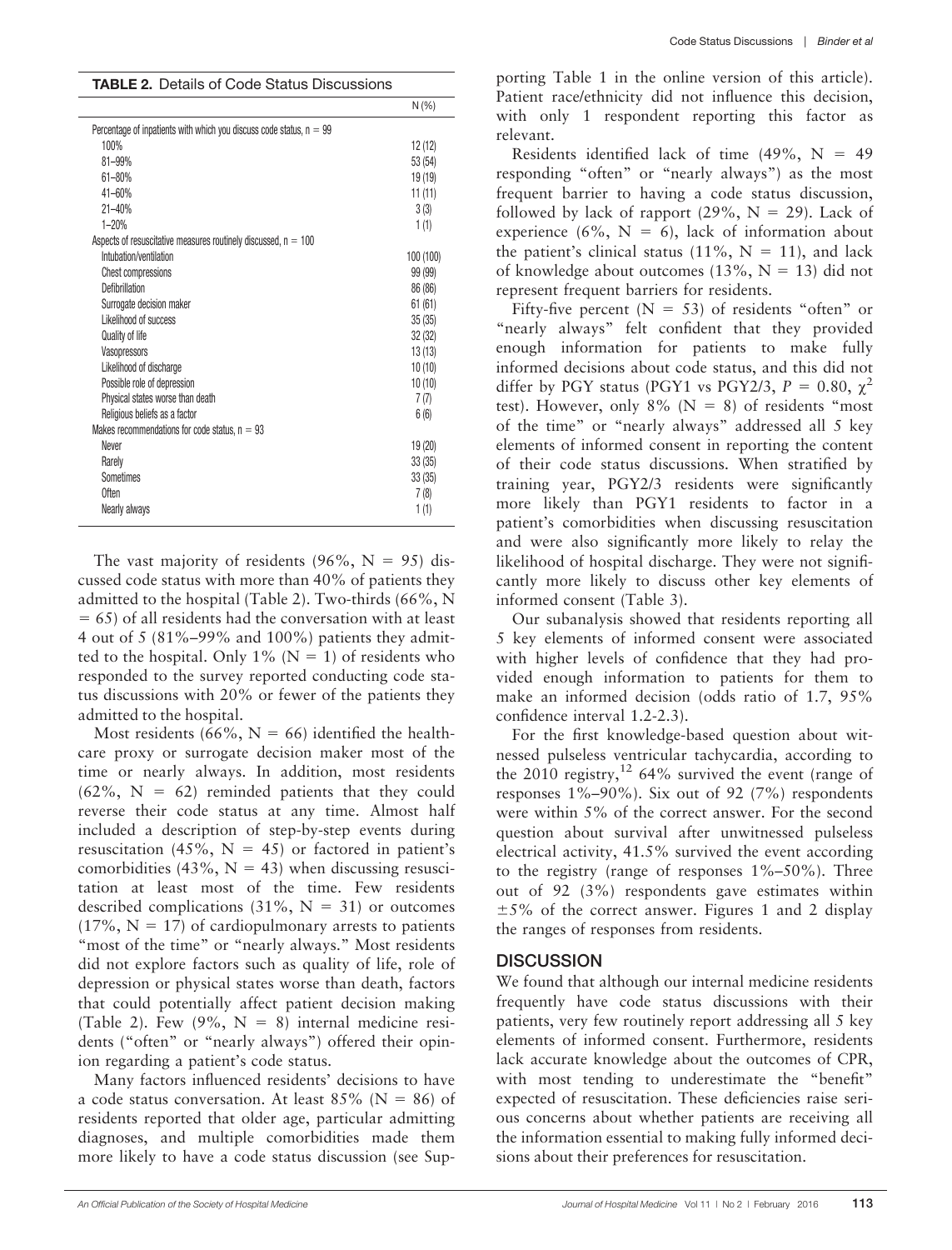| <b>TABLE 2.</b> Details of Code Status Discussions                    |          |  |  |  |  |
|-----------------------------------------------------------------------|----------|--|--|--|--|
|                                                                       | N(% )    |  |  |  |  |
| Percentage of inpatients with which you discuss code status, $n = 99$ |          |  |  |  |  |
| 100%                                                                  | 12(12)   |  |  |  |  |
| $81 - 99%$                                                            | 53 (54)  |  |  |  |  |
| $61 - 80%$                                                            | 19(19)   |  |  |  |  |
| 41-60%                                                                | 11(11)   |  |  |  |  |
| $21 - 40%$                                                            | 3(3)     |  |  |  |  |
| $1 - 20%$                                                             | 1(1)     |  |  |  |  |
| Aspects of resuscitative measures routinely discussed, $n = 100$      |          |  |  |  |  |
| Intubation/ventilation                                                | 100(100) |  |  |  |  |
| <b>Chest compressions</b>                                             | 99 (99)  |  |  |  |  |
| Defibrillation                                                        | 86 (86)  |  |  |  |  |
| Surrogate decision maker                                              | 61(61)   |  |  |  |  |
| Likelihood of success                                                 | 35(35)   |  |  |  |  |
| <b>Quality of life</b>                                                | 32(32)   |  |  |  |  |
| Vasopressors                                                          | 13(13)   |  |  |  |  |
| Likelihood of discharge                                               | 10(10)   |  |  |  |  |
| Possible role of depression                                           | 10(10)   |  |  |  |  |
| Physical states worse than death                                      | 7(7)     |  |  |  |  |
| Religious beliefs as a factor                                         | 6(6)     |  |  |  |  |
| Makes recommendations for code status, $n = 93$                       |          |  |  |  |  |
| Never                                                                 | 19 (20)  |  |  |  |  |
| Rarely                                                                | 33(35)   |  |  |  |  |
| Sometimes                                                             | 33(35)   |  |  |  |  |
| Often                                                                 | 7(8)     |  |  |  |  |
| Nearly always                                                         | 1(1)     |  |  |  |  |

The vast majority of residents (96%,  $N = 95$ ) discussed code status with more than 40% of patients they admitted to the hospital (Table 2). Two-thirds (66%, N  $= 65$ ) of all residents had the conversation with at least 4 out of 5 (81%–99% and 100%) patients they admitted to the hospital. Only 1% ( $N = 1$ ) of residents who responded to the survey reported conducting code status discussions with 20% or fewer of the patients they admitted to the hospital.

Most residents (66%,  $N = 66$ ) identified the healthcare proxy or surrogate decision maker most of the time or nearly always. In addition, most residents  $(62\%, N = 62)$  reminded patients that they could reverse their code status at any time. Almost half included a description of step-by-step events during resuscitation (45%,  $N = 45$ ) or factored in patient's comorbidities (43%,  $N = 43$ ) when discussing resuscitation at least most of the time. Few residents described complications  $(31\%, N = 31)$  or outcomes  $(17\%, N = 17)$  of cardiopulmonary arrests to patients "most of the time" or "nearly always." Most residents did not explore factors such as quality of life, role of depression or physical states worse than death, factors that could potentially affect patient decision making (Table 2). Few  $(9\%, N = 8)$  internal medicine residents ("often" or "nearly always") offered their opinion regarding a patient's code status.

Many factors influenced residents' decisions to have a code status conversation. At least  $85\%$  (N = 86) of residents reported that older age, particular admitting diagnoses, and multiple comorbidities made them more likely to have a code status discussion (see Sup-

porting Table 1 in the online version of this article). Patient race/ethnicity did not influence this decision, with only 1 respondent reporting this factor as relevant.

Residents identified lack of time  $(49\%, N = 49)$ responding "often" or "nearly always") as the most frequent barrier to having a code status discussion, followed by lack of rapport  $(29\%, N = 29)$ . Lack of experience (6%,  $N = 6$ ), lack of information about the patient's clinical status (11%,  $N = 11$ ), and lack of knowledge about outcomes  $(13\%, N = 13)$  did not represent frequent barriers for residents.

Fifty-five percent ( $N = 53$ ) of residents "often" or "nearly always" felt confident that they provided enough information for patients to make fully informed decisions about code status, and this did not differ by PGY status (PGY1 vs PGY2/3,  $P = 0.80$ ,  $\chi^2$ test). However, only  $8\%$  (N = 8) of residents "most of the time" or "nearly always" addressed all 5 key elements of informed consent in reporting the content of their code status discussions. When stratified by training year, PGY2/3 residents were significantly more likely than PGY1 residents to factor in a patient's comorbidities when discussing resuscitation and were also significantly more likely to relay the likelihood of hospital discharge. They were not significantly more likely to discuss other key elements of informed consent (Table 3).

Our subanalysis showed that residents reporting all 5 key elements of informed consent were associated with higher levels of confidence that they had provided enough information to patients for them to make an informed decision (odds ratio of 1.7, 95% confidence interval 1.2-2.3).

For the first knowledge-based question about witnessed pulseless ventricular tachycardia, according to the 2010 registry,<sup>12</sup> 64% survived the event (range of responses 1%–90%). Six out of 92 (7%) respondents were within 5% of the correct answer. For the second question about survival after unwitnessed pulseless electrical activity, 41.5% survived the event according to the registry (range of responses  $1\% - 50\%$ ). Three out of 92 (3%) respondents gave estimates within  $\pm$  5% of the correct answer. Figures 1 and 2 display the ranges of responses from residents.

### **DISCUSSION**

We found that although our internal medicine residents frequently have code status discussions with their patients, very few routinely report addressing all 5 key elements of informed consent. Furthermore, residents lack accurate knowledge about the outcomes of CPR, with most tending to underestimate the "benefit" expected of resuscitation. These deficiencies raise serious concerns about whether patients are receiving all the information essential to making fully informed decisions about their preferences for resuscitation.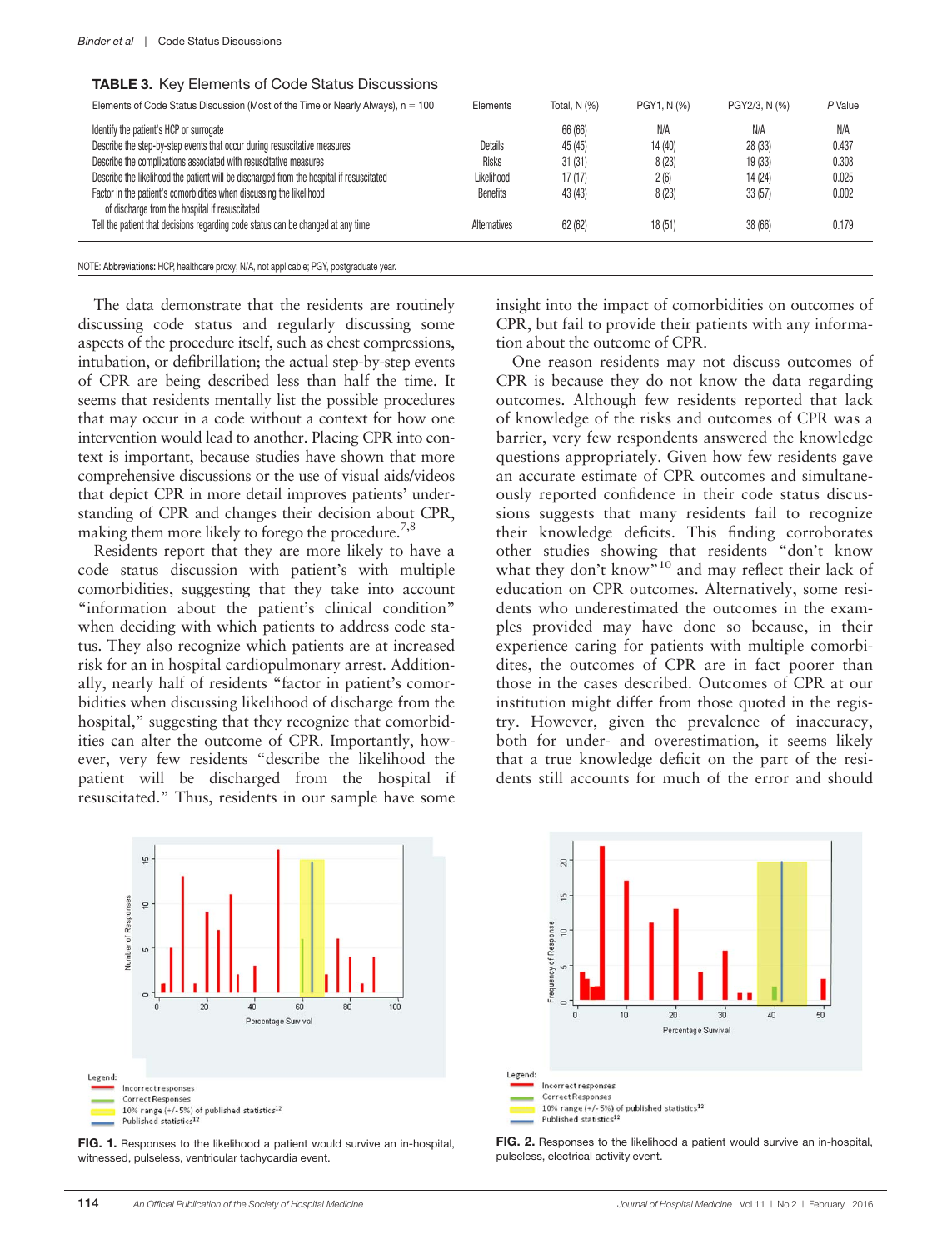| <b>IABLE 3.</b> Key Elements of Code Status Discussions                                                                |                 |                   |            |               |         |  |  |  |
|------------------------------------------------------------------------------------------------------------------------|-----------------|-------------------|------------|---------------|---------|--|--|--|
| Elements of Code Status Discussion (Most of the Time or Nearly Always), $n = 100$                                      | Elements        | Total, $N$ $(\%)$ | PGY1, N(%) | PGY2/3, N (%) | P Value |  |  |  |
| Identify the patient's HCP or surrogate                                                                                |                 | 66 (66)           | N/A        | N/A           | N/A     |  |  |  |
| Describe the step-by-step events that occur during resuscitative measures                                              | <b>Details</b>  | 45 (45)           | 14 (40)    | 28(33)        | 0.437   |  |  |  |
| Describe the complications associated with resuscitative measures                                                      | <b>Risks</b>    | 31(31)            | 8(23)      | 19(33)        | 0.308   |  |  |  |
| Describe the likelihood the patient will be discharged from the hospital if resuscitated                               | Likelihood      | 17(17)            | 2(6)       | 14 (24)       | 0.025   |  |  |  |
| Factor in the patient's comorbidities when discussing the likelihood<br>of discharge from the hospital if resuscitated | <b>Benefits</b> | 43 (43)           | 8(23)      | 33(57)        | 0.002   |  |  |  |
| Tell the patient that decisions regarding code status can be changed at any time                                       | Alternatives    | 62 (62)           | 18 (51)    | 38 (66)       | 0.179   |  |  |  |
|                                                                                                                        |                 |                   |            |               |         |  |  |  |

### TABLE 3. Key Elements of Code Status Discussions

NOTE: Abbreviations: HCP, healthcare proxy; N/A, not applicable; PGY, postgraduate year.

The data demonstrate that the residents are routinely discussing code status and regularly discussing some aspects of the procedure itself, such as chest compressions, intubation, or defibrillation; the actual step-by-step events of CPR are being described less than half the time. It seems that residents mentally list the possible procedures that may occur in a code without a context for how one intervention would lead to another. Placing CPR into context is important, because studies have shown that more comprehensive discussions or the use of visual aids/videos that depict CPR in more detail improves patients' understanding of CPR and changes their decision about CPR, making them more likely to forego the procedure.<sup>7,8</sup>

Residents report that they are more likely to have a code status discussion with patient's with multiple comorbidities, suggesting that they take into account "information about the patient's clinical condition" when deciding with which patients to address code status. They also recognize which patients are at increased risk for an in hospital cardiopulmonary arrest. Additionally, nearly half of residents "factor in patient's comorbidities when discussing likelihood of discharge from the hospital," suggesting that they recognize that comorbidities can alter the outcome of CPR. Importantly, however, very few residents "describe the likelihood the patient will be discharged from the hospital if resuscitated." Thus, residents in our sample have some

insight into the impact of comorbidities on outcomes of CPR, but fail to provide their patients with any information about the outcome of CPR.

One reason residents may not discuss outcomes of CPR is because they do not know the data regarding outcomes. Although few residents reported that lack of knowledge of the risks and outcomes of CPR was a barrier, very few respondents answered the knowledge questions appropriately. Given how few residents gave an accurate estimate of CPR outcomes and simultaneously reported confidence in their code status discussions suggests that many residents fail to recognize their knowledge deficits. This finding corroborates other studies showing that residents "don't know what they don't know"<sup>10</sup> and may reflect their lack of education on CPR outcomes. Alternatively, some residents who underestimated the outcomes in the examples provided may have done so because, in their experience caring for patients with multiple comorbidites, the outcomes of CPR are in fact poorer than those in the cases described. Outcomes of CPR at our institution might differ from those quoted in the registry. However, given the prevalence of inaccuracy, both for under- and overestimation, it seems likely that a true knowledge deficit on the part of the residents still accounts for much of the error and should



FIG. 1. Responses to the likelihood a patient would survive an in-hospital, witnessed, pulseless, ventricular tachycardia event.



FIG. 2. Responses to the likelihood a patient would survive an in-hospital, pulseless, electrical activity event.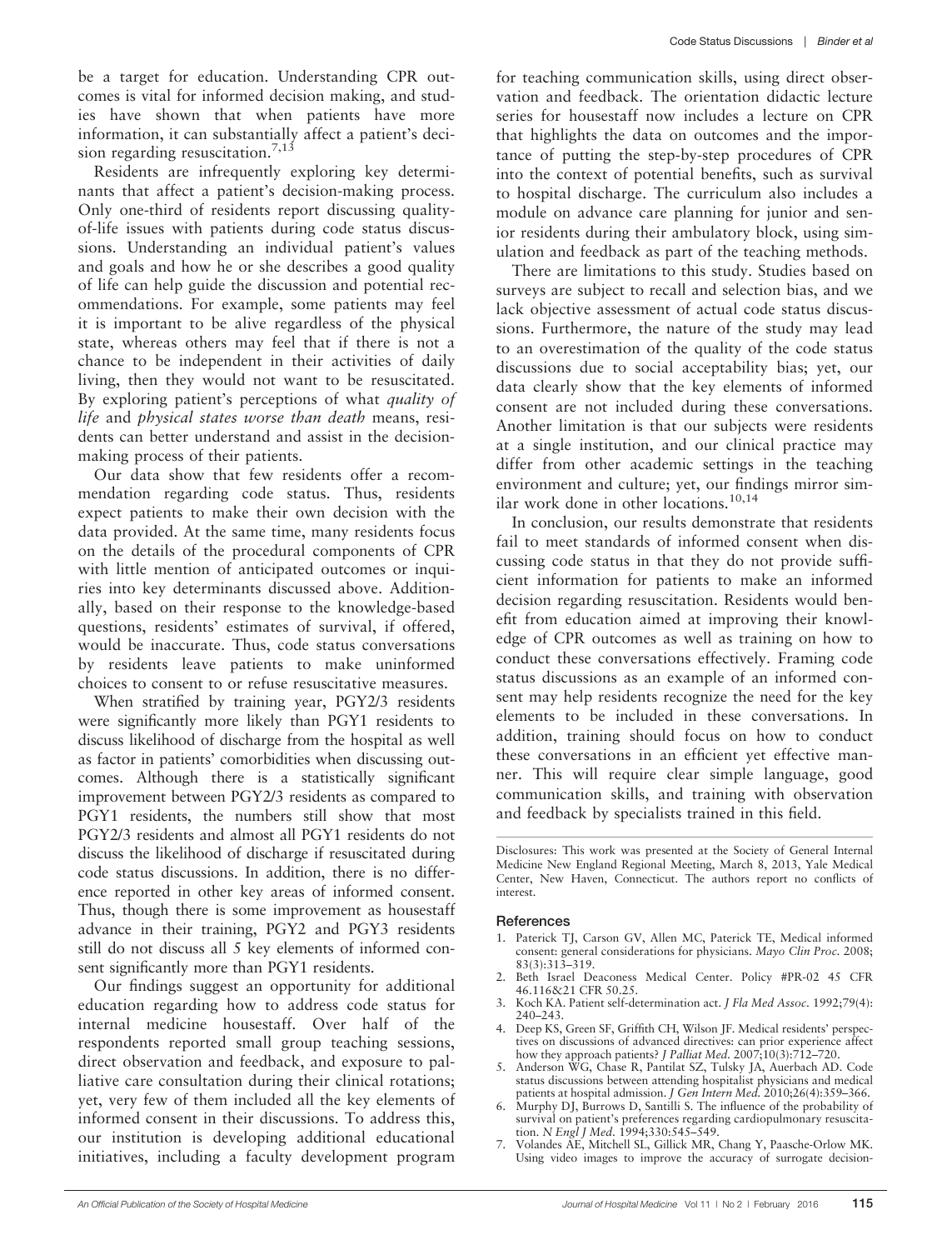be a target for education. Understanding CPR outcomes is vital for informed decision making, and studies have shown that when patients have more information, it can substantially affect a patient's decision regarding resuscitation.<sup>7,13</sup>

Residents are infrequently exploring key determinants that affect a patient's decision-making process. Only one-third of residents report discussing qualityof-life issues with patients during code status discussions. Understanding an individual patient's values and goals and how he or she describes a good quality of life can help guide the discussion and potential recommendations. For example, some patients may feel it is important to be alive regardless of the physical state, whereas others may feel that if there is not a chance to be independent in their activities of daily living, then they would not want to be resuscitated. By exploring patient's perceptions of what *quality of* life and physical states worse than death means, residents can better understand and assist in the decisionmaking process of their patients.

Our data show that few residents offer a recommendation regarding code status. Thus, residents expect patients to make their own decision with the data provided. At the same time, many residents focus on the details of the procedural components of CPR with little mention of anticipated outcomes or inquiries into key determinants discussed above. Additionally, based on their response to the knowledge-based questions, residents' estimates of survival, if offered, would be inaccurate. Thus, code status conversations by residents leave patients to make uninformed choices to consent to or refuse resuscitative measures.

When stratified by training year, PGY2/3 residents were significantly more likely than PGY1 residents to discuss likelihood of discharge from the hospital as well as factor in patients' comorbidities when discussing outcomes. Although there is a statistically significant improvement between PGY2/3 residents as compared to PGY1 residents, the numbers still show that most PGY2/3 residents and almost all PGY1 residents do not discuss the likelihood of discharge if resuscitated during code status discussions. In addition, there is no difference reported in other key areas of informed consent. Thus, though there is some improvement as housestaff advance in their training, PGY2 and PGY3 residents still do not discuss all 5 key elements of informed consent significantly more than PGY1 residents.

Our findings suggest an opportunity for additional education regarding how to address code status for internal medicine housestaff. Over half of the respondents reported small group teaching sessions, direct observation and feedback, and exposure to palliative care consultation during their clinical rotations; yet, very few of them included all the key elements of informed consent in their discussions. To address this, our institution is developing additional educational initiatives, including a faculty development program

for teaching communication skills, using direct observation and feedback. The orientation didactic lecture series for housestaff now includes a lecture on CPR that highlights the data on outcomes and the importance of putting the step-by-step procedures of CPR into the context of potential benefits, such as survival to hospital discharge. The curriculum also includes a module on advance care planning for junior and senior residents during their ambulatory block, using simulation and feedback as part of the teaching methods.

There are limitations to this study. Studies based on surveys are subject to recall and selection bias, and we lack objective assessment of actual code status discussions. Furthermore, the nature of the study may lead to an overestimation of the quality of the code status discussions due to social acceptability bias; yet, our data clearly show that the key elements of informed consent are not included during these conversations. Another limitation is that our subjects were residents at a single institution, and our clinical practice may differ from other academic settings in the teaching environment and culture; yet, our findings mirror similar work done in other locations.<sup>10,14</sup>

In conclusion, our results demonstrate that residents fail to meet standards of informed consent when discussing code status in that they do not provide sufficient information for patients to make an informed decision regarding resuscitation. Residents would benefit from education aimed at improving their knowledge of CPR outcomes as well as training on how to conduct these conversations effectively. Framing code status discussions as an example of an informed consent may help residents recognize the need for the key elements to be included in these conversations. In addition, training should focus on how to conduct these conversations in an efficient yet effective manner. This will require clear simple language, good communication skills, and training with observation and feedback by specialists trained in this field.

#### References

- 1. Paterick TJ, Carson GV, Allen MC, Paterick TE, Medical informed consent: general considerations for physicians. Mayo Clin Proc. 2008; 83(3):313–319.
- 2. Beth Israel Deaconess Medical Center. Policy #PR-02 45 CFR 46.116&21 CFR 50.25.
- 3. Koch KA. Patient self-determination act. J Fla Med Assoc. 1992;79(4): 240–243.
- 4. Deep KS, Green SF, Griffith CH, Wilson JF. Medical residents' perspectives on discussions of advanced directives: can prior experience affect how they approach patients? *J Palliat Med.*  $2007;10(3):712-720$ .
- 5. Anderson WG, Chase R, Pantilat SZ, Tulsky JA, Auerbach AD. Code status discussions between attending hospitalist physicians and medical patients at hospital admission. J Gen Intern Med. 2010;26(4):359-366.
- 6. Murphy DJ, Burrows D, Santilli S. The influence of the probability of survival on patient's preferences regarding cardiopulmonary resuscitation. N Engl J Med. 1994;330:545–549.
- 7. Volandes AE, Mitchell SL, Gillick MR, Chang Y, Paasche-Orlow MK. Using video images to improve the accuracy of surrogate decision-

Disclosures: This work was presented at the Society of General Internal Medicine New England Regional Meeting, March 8, 2013, Yale Medical Center, New Haven, Connecticut. The authors report no conflicts of interest.